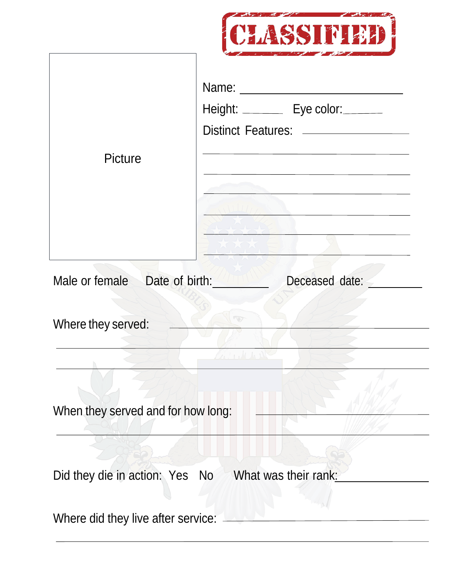

|                                                     | Name:<br>Height: _________ Eye color:_______<br>Distinct Features: __________________ |
|-----------------------------------------------------|---------------------------------------------------------------------------------------|
| Picture                                             | the control of the control of the control of the control of the control of            |
| Male or female Date of birth:                       | Deceased date:                                                                        |
| Where they served:                                  |                                                                                       |
|                                                     |                                                                                       |
| When they served and for how long:                  |                                                                                       |
| Did they die in action: Yes No What was their rank: |                                                                                       |
| Where did they live after service:                  |                                                                                       |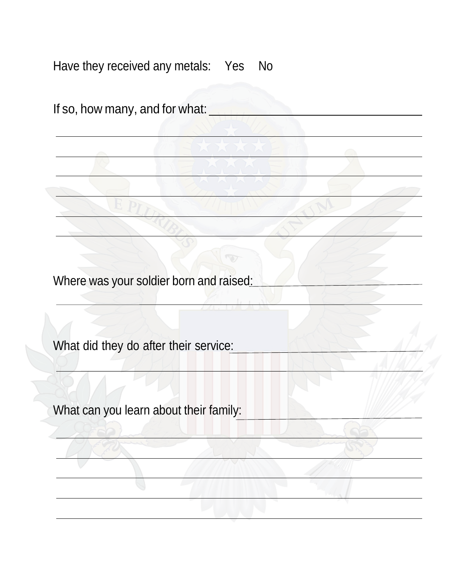Have they received any metals: Yes No If so, how many, and for what: Where was your soldier born and raised<u>:</u> What did they do after their service: What can you learn about their family: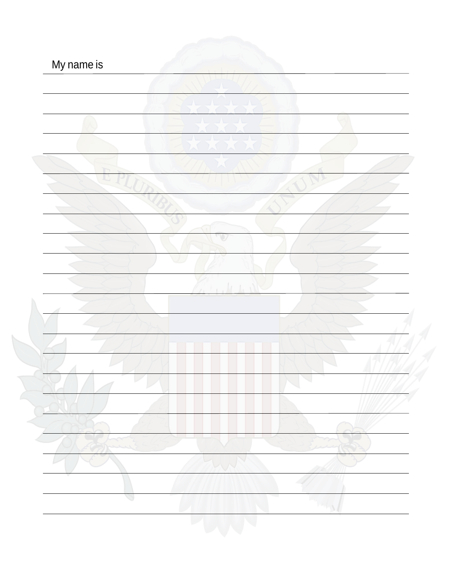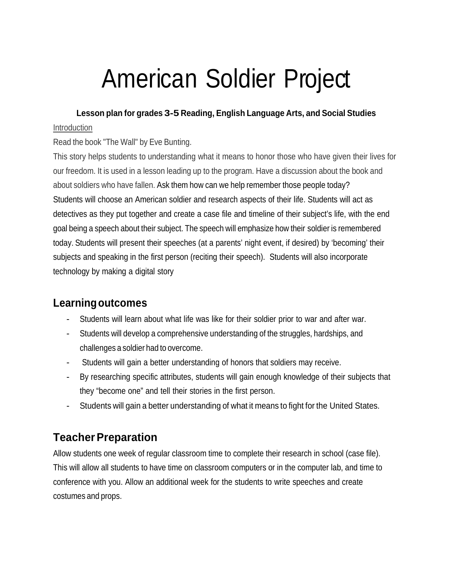# American Soldier Project

### **Lesson plan for grades 3-5 Reading, English Language Arts, and Social Studies**

### Introduction

### Read the book "The Wall" by Eve Bunting.

 This story helps students to understanding what it means to honor those who have given their lives for our freedom. It is used in a lesson leading up to the program. Have a discussion about the book and about soldiers who have fallen. Ask them how can we help remember those people today? Students will choose an American soldier and research aspects of their life. Students will act as detectives as they put together and create a case file and timeline of their subject's life, with the end goal being a speech about their subject. The speech will emphasize how their soldier is remembered today. Students will present their speeches (at a parents' night event, if desired) by 'becoming' their subjects and speaking in the first person (reciting their speech). Students will also incorporate technology by making a digital story

### **Learningoutcomes**

- Students will learn about what life was like for their soldier prior to war and after war.
- - Students will develop a comprehensive understanding of the struggles, hardships, and challenges a soldier had to overcome.
- Students will gain a better understanding of honors that soldiers may receive.
- - By researching specific attributes, students will gain enough knowledge of their subjects that they "become one" and tell their stories in the first person.
- Students will gain a better understanding of what it means to fight for the United States.

# **Teacher Preparation**

 Allow students one week of regular classroom time to complete their research in school (case file). This will allow all students to have time on classroom computers or in the computer lab, and time to conference with you. Allow an additional week for the students to write speeches and create costumes and props.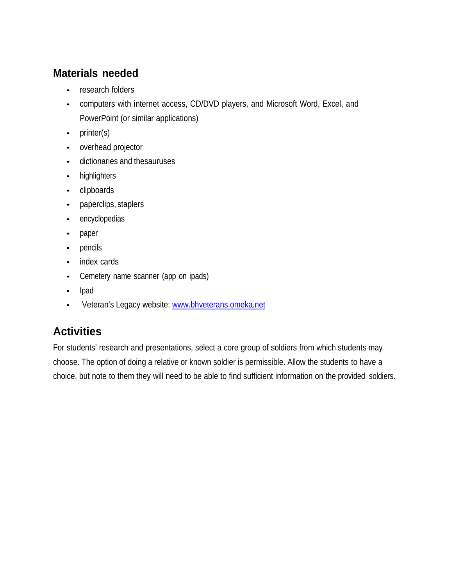# **Materials needed**

- research folders
- • computers with internet access, CD/DVD players, and Microsoft Word, Excel, and PowerPoint (or similar applications)
- printer(s)
- overhead projector
- dictionaries and thesauruses
- highlighters
- clipboards
- paperclips, staplers
- encyclopedias
- paper
- pencils
- index cards
- Cemetery name scanner (app on ipads)
- Ipad
- Veteran's Legacy website: www.bhveterans.omeka.net

# **Activities**

 For students' research and presentations, select a core group of soldiers from which students may choose. The option of doing a relative or known soldier is permissible. Allow the students to have a choice, but note to them they will need to be able to find sufficient information on the provided soldiers.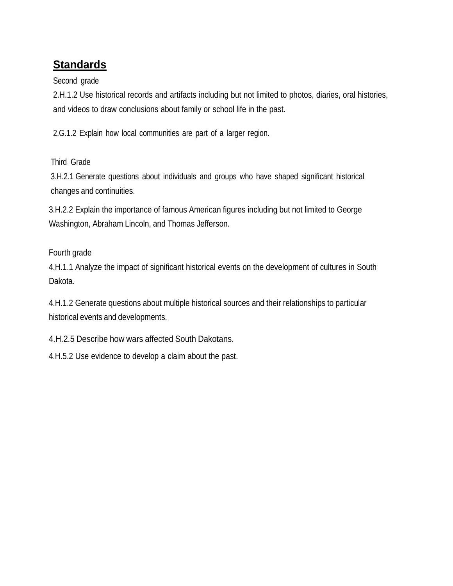# **Standards**

Second grade

 2.H.1.2 Use historical records and artifacts including but not limited to photos, diaries, oral histories, and videos to draw conclusions about family or school life in the past.

2.G.1.2 Explain how local communities are part of a larger region.

Third Grade

 3.H.2.1 Generate questions about individuals and groups who have shaped significant historical changes and continuities.

 3.H.2.2 Explain the importance of famous American figures including but not limited to George Washington, Abraham Lincoln, and Thomas Jefferson.

### Fourth grade

 4.H.1.1 Analyze the impact of significant historical events on the development of cultures in South Dakota.

 4.H.1.2 Generate questions about multiple historical sources and their relationships to particular historical events and developments.

4.H.2.5 Describe how wars affected South Dakotans.

4.H.5.2 Use evidence to develop a claim about the past.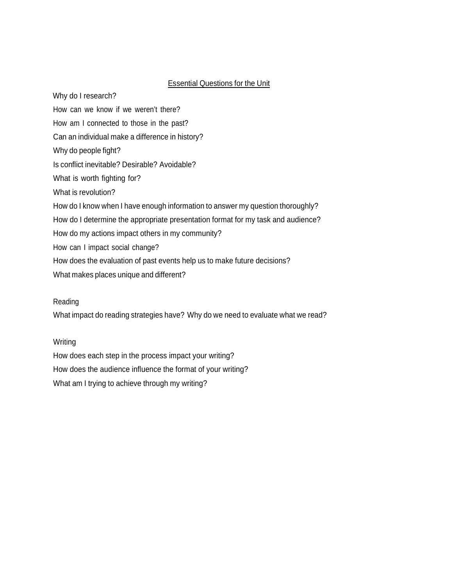### **Essential Questions for the Unit**

 How can we know if we weren't there? How am I connected to those in the past? Can an individual make a difference in history? Why do people fight? Is conflict inevitable? Desirable? Avoidable? What is worth fighting for? What is revolution? How do I know when I have enough information to answer my question thoroughly? How do I determine the appropriate presentation format for my task and audience? How do my actions impact others in my community? How can I impact social change? How does the evaluation of past events help us to make future decisions? What makes places unique and different? Why do I research?

#### Reading

What impact do reading strategies have? Why do we need to evaluate what we read?

#### Writing

 How does each step in the process impact your writing? What am I trying to achieve through my writing? How does the audience influence the format of your writing?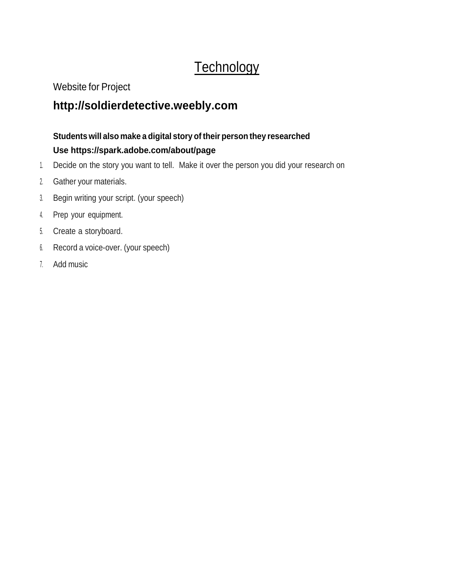# **Technology**

Website for Project

# **[http://soldierdetective.weebly.com](http://soldierdetective.weebly.com/)**

### **Students will also make a digital story of their person they researched Use https://spark.adobe.com/about/page**

- 1. Decide on the story you want to tell. Make it over the person you did your research on
- 2. Gather your materials.
- 3. Begin writing your script. (your speech)
- 4. Prep your equipment.
- 5. Create a storyboard.
- 6. Record a voice-over. (your speech)
- 7. Add music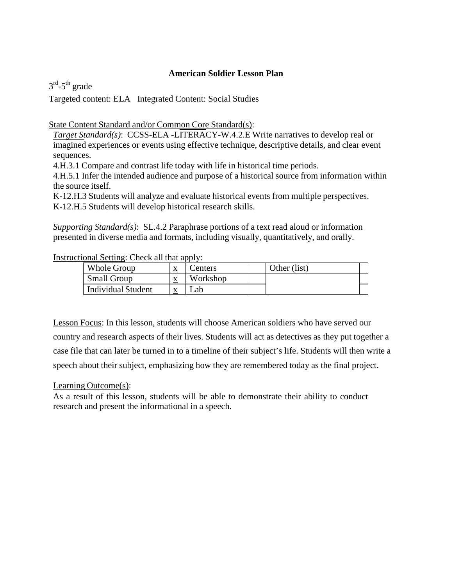#### **American Soldier Lesson Plan**

 $3^{\text{rd}}$ -5<sup>th</sup> grade

Targeted content: ELA Integrated Content: Social Studies

State Content Standard and/or Common Core Standard(s):

 *Target Standard(s)*: CCSS-ELA -LITERACY-W.4.2.E Write narratives to develop real or imagined experiences or events using effective technique, descriptive details, and clear event sequences.

4.H.3.1 Compare and contrast life today with life in historical time periods.

 4.H.5.1 Infer the intended audience and purpose of a historical source from information within the source itself.

 K-12.H.3 Students will analyze and evaluate historical events from multiple perspectives. K-12.H.5 Students will develop historical research skills.

 *Supporting Standard(s)*: SL.4.2 Paraphrase portions of a text read aloud or information presented in diverse media and formats, including visually, quantitatively, and orally.

### Instructional Setting: Check all that apply:

| <b>Small Group</b><br>Workshop<br>$\Delta$ |  |
|--------------------------------------------|--|
| <b>Individual Student</b><br>∟ab           |  |

 Lesson Focus: In this lesson, students will choose American soldiers who have served our country and research aspects of their lives. Students will act as detectives as they put together a case file that can later be turned in to a timeline of their subject's life. Students will then write a speech about their subject, emphasizing how they are remembered today as the final project.

Learning Outcome(s):

 As a result of this lesson, students will be able to demonstrate their ability to conduct research and present the informational in a speech.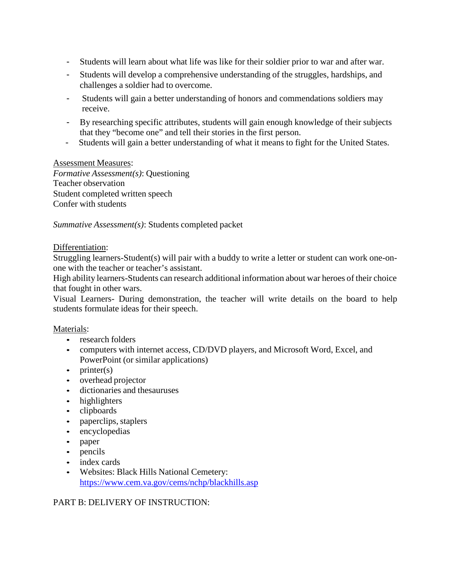- Students will learn about what life was like for their soldier prior to war and after war.
- - Students will develop a comprehensive understanding of the struggles, hardships, and challenges a soldier had to overcome.
- - Students will gain a better understanding of honors and commendations soldiers may receive.
- - By researching specific attributes, students will gain enough knowledge of their subjects that they "become one" and tell their stories in the first person.
- Students will gain a better understanding of what it means to fight for the United States.

#### Assessment Measures:

 *Formative Assessment(s)*: Questioning Teacher observation Student completed written speech Confer with students

*Summative Assessment(s)*: Students completed packet

#### Differentiation:

 Struggling learners-Student(s) will pair with a buddy to write a letter or student can work one-on-one with the teacher or teacher's assistant.

 High ability learners-Students can research additional information about war heroes of their choice that fought in other wars.

 Visual Learners- During demonstration, the teacher will write details on the board to help students formulate ideas for their speech.

#### Materials:

- research folders
- • computers with internet access, CD/DVD players, and Microsoft Word, Excel, and PowerPoint (or similar applications)
- printer(s)
- overhead projector
- dictionaries and thesauruses
- highlighters
- clipboards
- paperclips, staplers
- encyclopedias
- paper
- pencils
- index cards
- • Websites: Black Hills National Cemetery: https:/[/www.cem.va.gov/cems/nchp/blackhills.asp](http://www.cem.va.gov/cems/nchp/blackhills.asp)

### PART B: DELIVERY OF INSTRUCTION: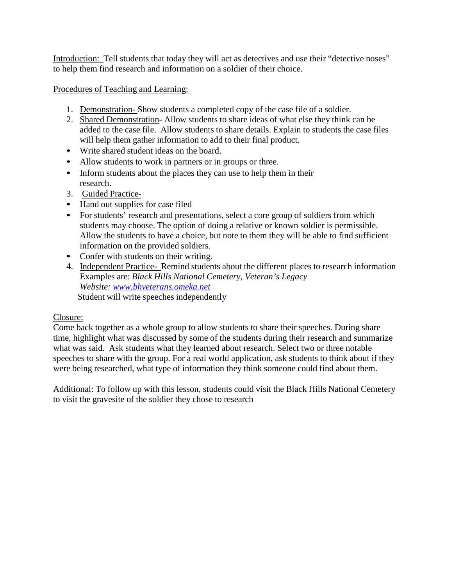Introduction: Tell students that today they will act as detectives and use their "detective noses" to help them find research and information on a soldier of their choice.

### Procedures of Teaching and Learning:

- 1. Demonstration- Show students a completed copy of the case file of a soldier.
- 2. Shared Demonstration-Allow students to share ideas of what else they think can be added to the case file. Allow students to share details. Explain to students the case files will help them gather information to add to their final product.
- Write shared student ideas on the board.
- Allow students to work in partners or in groups or three.
- • Inform students about the places they can use to help them in their research.
- 3. Guided Practice-
- Hand out supplies for case filed
- • For students' research and presentations, select a core group of soldiers from which students may choose. The option of doing a relative or known soldier is permissible. Allow the students to have a choice, but note to them they will be able to find sufficient information on the provided soldiers.
- Confer with students on their writing.
- 4. Independent Practice-Remind students about the different places to research information Examples are: *Black Hills National Cemetery, Veteran's Legacy*  Student will write speeches independently *Website: [www.bhveterans.omeka.net](http://www.bhveterans.omeka.net/)*

### Closure:

 Come back together as a whole group to allow students to share their speeches. During share time, highlight what was discussed by some of the students during their research and summarize what was said. Ask students what they learned about research. Select two or three notable speeches to share with the group. For a real world application, ask students to think about if they were being researched, what type of information they think someone could find about them.

 Additional: To follow up with this lesson, students could visit the Black Hills National Cemetery to visit the gravesite of the soldier they chose to research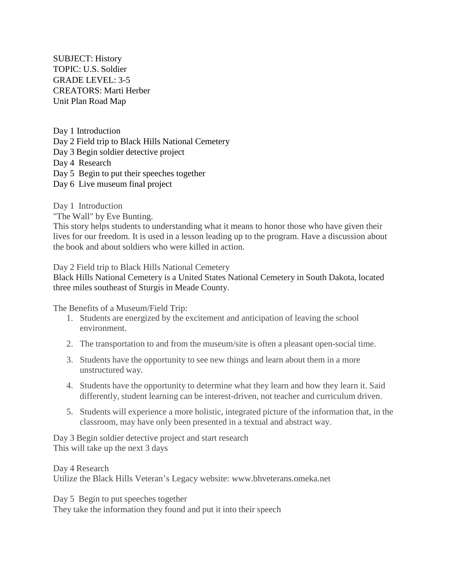TOPIC: U.S. Soldier GRADE LEVEL: 3-5 CREATORS: Marti Herber Unit Plan Road Map SUBJECT: History

 Day 2 Field trip to Black Hills National Cemetery Day 3 Begin soldier detective project Day 4 Research Day 5 Begin to put their speeches together Day 6 Live museum final project Day 1 Introduction

Day 1 Introduction

"The Wall" by Eve Bunting.

 This story helps students to understanding what it means to honor those who have given their lives for our freedom. It is used in a lesson leading up to the program. Have a discussion about the book and about soldiers who were killed in action.

Day 2 Field trip to Black Hills National Cemetery

 Black Hills National Cemetery is a United States National Cemetery in South Dakota, located three miles southeast of Sturgis in Meade County.

The Benefits of a Museum/Field Trip:

- 1. Students are energized by the excitement and anticipation of leaving the school environment.
- 2. The transportation to and from the museum/site is often a pleasant open-social time.
- 3. Students have the opportunity to see new things and learn about them in a more unstructured way.
- 4. Students have the opportunity to determine what they learn and how they learn it. Said differently, student learning can be interest-driven, not teacher and curriculum driven.
- 5. Students will experience a more holistic, integrated picture of the information that, in the classroom, may have only been presented in a textual and abstract way.

 Day 3 Begin soldier detective project and start research This will take up the next 3 days

 Day 4 Research Utilize the Black Hills Veteran's Legacy website: www.bhveterans.omeka.net

 Day 5 Begin to put speeches together They take the information they found and put it into their speech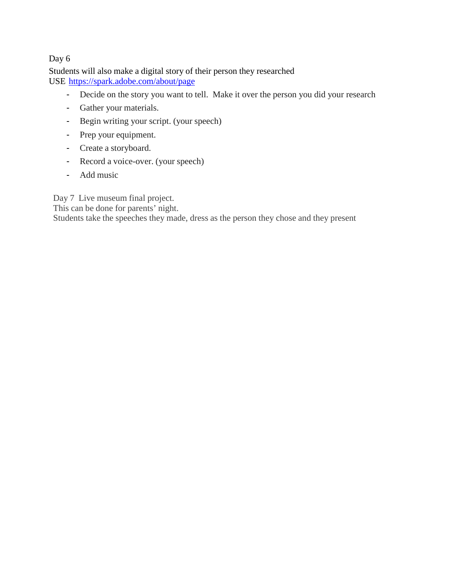### Day 6

 Students will also make a digital story of their person they researched USE https://spark.adobe.com/about/page

- Decide on the story you want to tell. Make it over the person you did your research
- Gather your materials.
- Begin writing your script. (your speech)
- Prep your equipment.
- Create a storyboard.
- Record a voice-over. (your speech)
- Add music

Day 7 Live museum final project.

This can be done for parents' night.

Students take the speeches they made, dress as the person they chose and they present